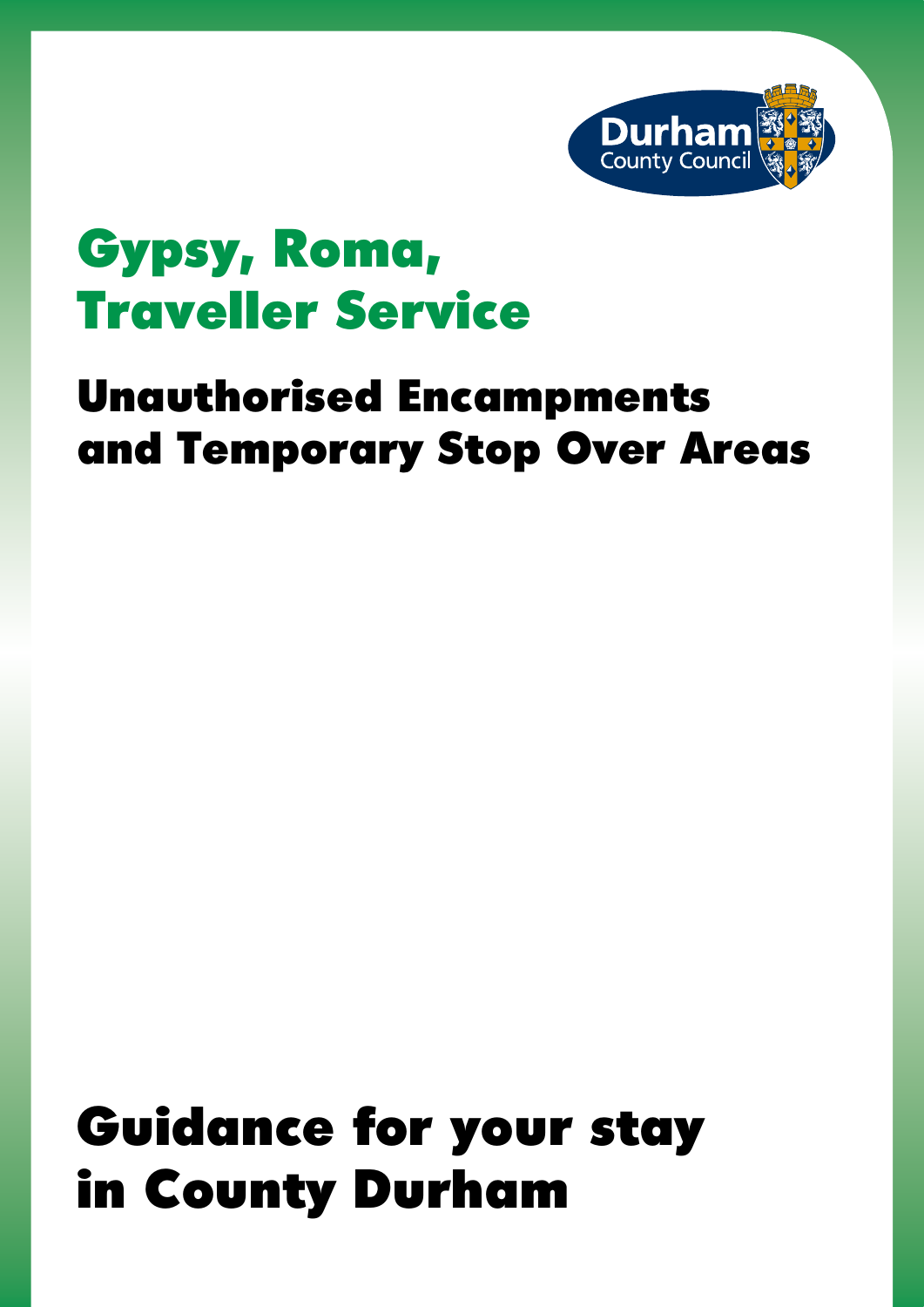

## Gypsy, Roma, Traveller Service

### Unauthorised Encampments and Temporary Stop Over Areas

# Guidance for your stay in County Durham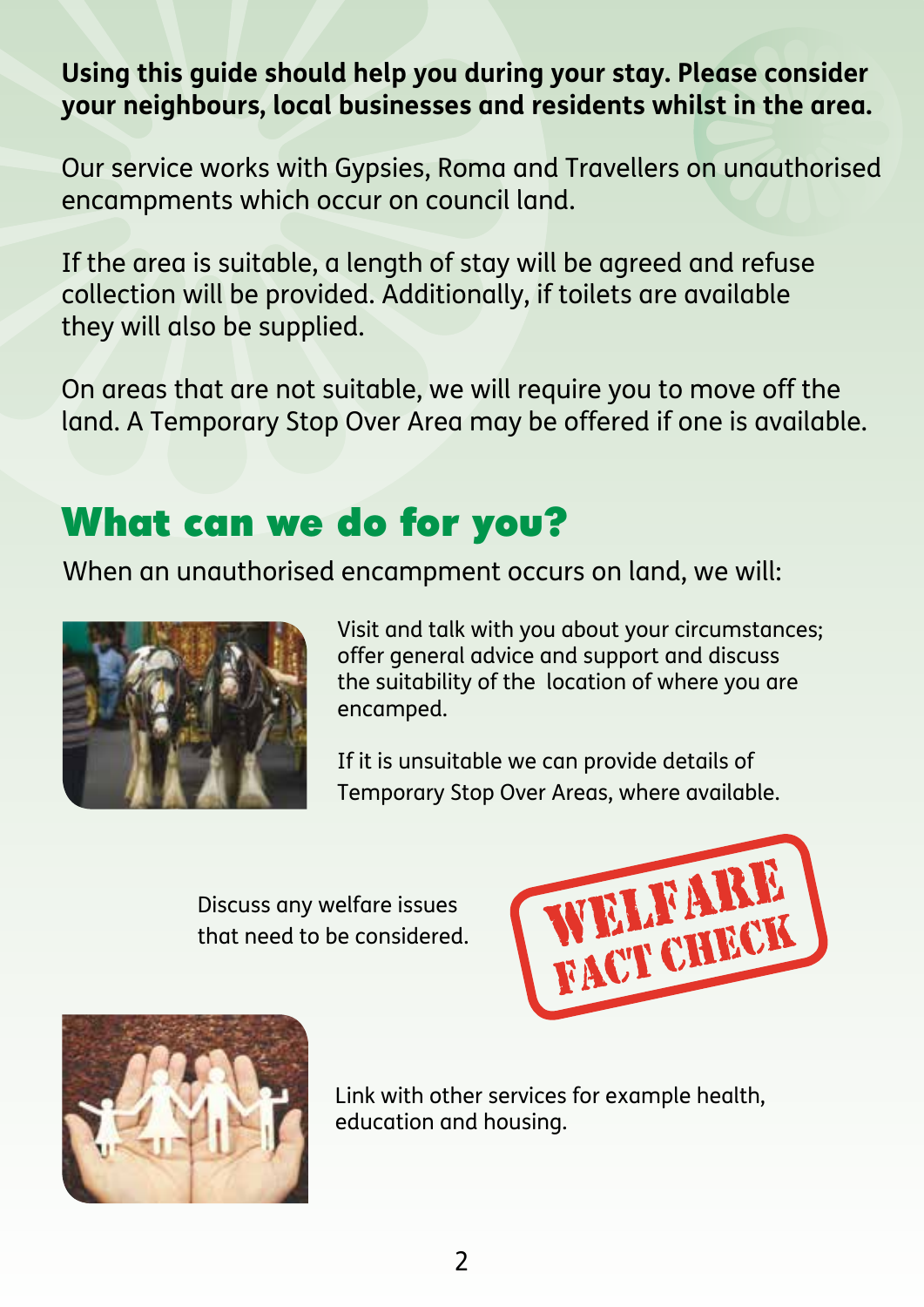#### **Using this guide should help you during your stay. Please consider your neighbours, local businesses and residents whilst in the area.**

Our service works with Gypsies, Roma and Travellers on unauthorised encampments which occur on council land.

If the area is suitable, a length of stay will be agreed and refuse collection will be provided. Additionally, if toilets are available they will also be supplied.

On areas that are not suitable, we will require you to move off the land. A Temporary Stop Over Area may be offered if one is available.

### What can we do for you?

When an unauthorised encampment occurs on land, we will:



Visit and talk with you about your circumstances; offer general advice and support and discuss the suitability of the location of where you are encamped.

If it is unsuitable we can provide details of Temporary Stop Over Areas, where available.

Discuss any welfare issues that need to be considered.





Link with other services for example health, education and housing.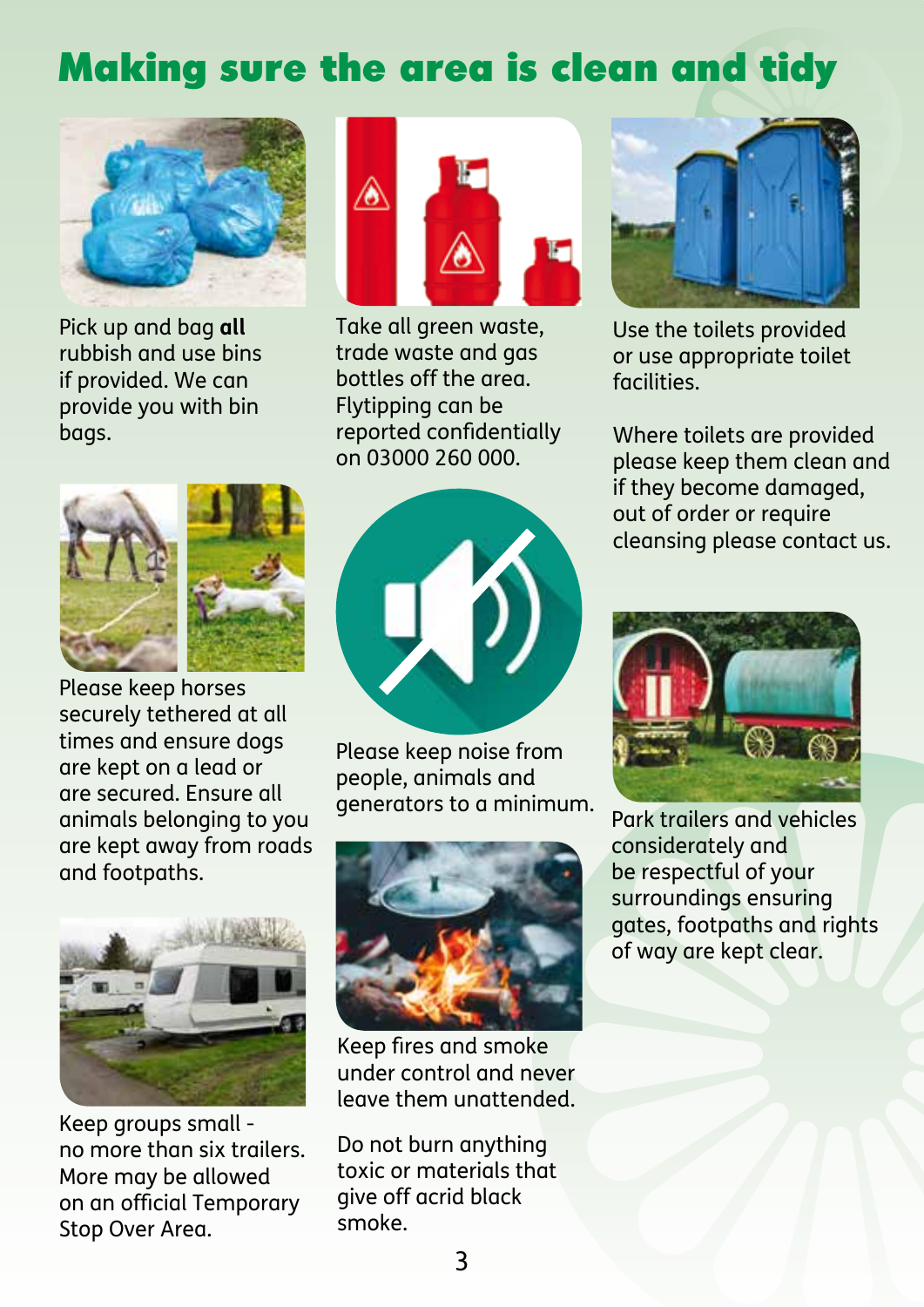### Making sure the area is clean and tidy



Pick up and bag **all** rubbish and use bins if provided. We can provide you with bin bags.



Take all green waste, trade waste and gas bottles off the area. Flytipping can be reported confidentially on 03000 260 000.





Please keep horses securely tethered at all times and ensure dogs are kept on a lead or are secured. Ensure all animals belonging to you are kept away from roads and footpaths.



Please keep noise from people, animals and



Keep groups small no more than six trailers. More may be allowed on an official Temporary Stop Over Area.



Keep fires and smoke under control and never leave them unattended.

Do not burn anything toxic or materials that give off acrid black smoke.



Use the toilets provided or use appropriate toilet facilities.

Where toilets are provided please keep them clean and if they become damaged, out of order or require cleansing please contact us.



Park trailers and vehicles considerately and be respectful of your surroundings ensuring gates, footpaths and rights of way are kept clear.